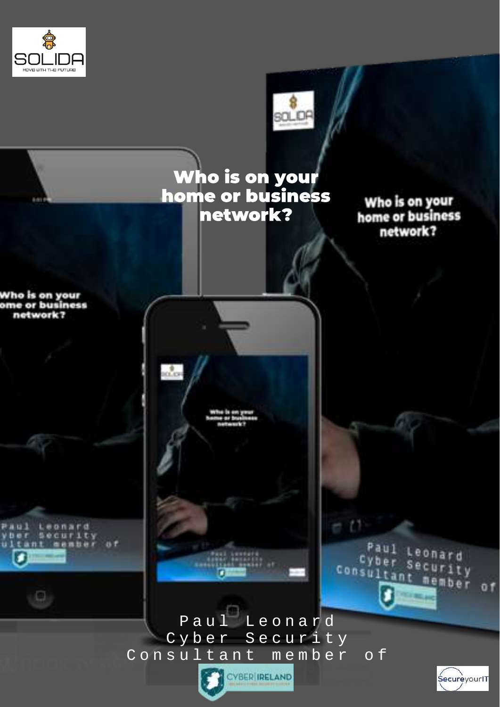



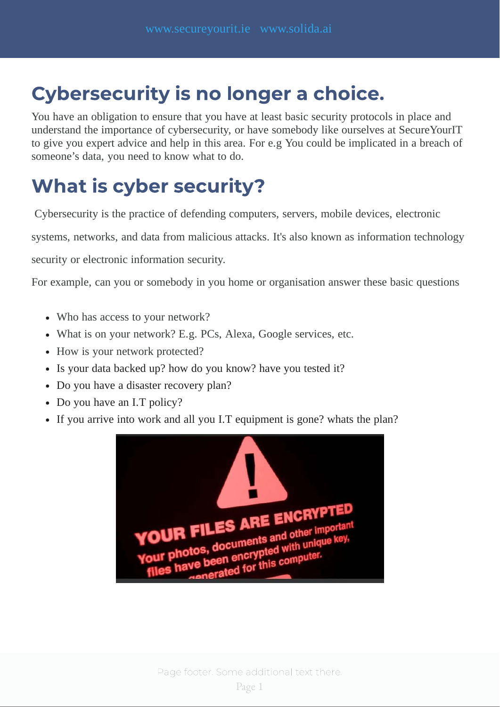### Cybersecurity is no longer a choice.

You have an obligation to ensure that you have at least basic security protocols in place and understand the importance of cybersecurity, or have somebody like ourselves at SecureYourIT to give you expert advice and help in this area. For e.g You could be implicated in a breach of someone's data, you need to know what to do.

### What is cyber security?

Cybersecurity is the practice of defending computers, servers, mobile devices, electronic

systems, networks, and data from malicious attacks. It's also known as information technology

security or electronic information security.

For example, can you or somebody in you home or organisation answer these basic questions

- Who has access to your network?
- What is on your network? E.g. PCs, Alexa, Google services, etc.
- How is your network protected?
- Is your data backed up? how do you know? have you tested it?
- Do you have a disaster recovery plan?
- Do you have an I.T policy?
- If you arrive into work and all you I.T equipment is gone? whats the plan?

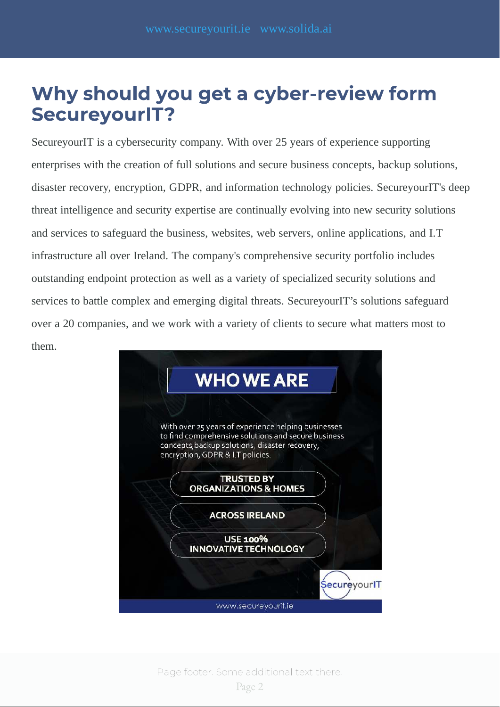### Why should you get a cyber-review form SecureyourIT?

SecureyourIT is a cybersecurity company. With over 25 years of experience supporting enterprises with the creation of full solutions and secure business concepts, backup solutions, disaster recovery, encryption, GDPR, and information technology policies. SecureyourIT's deep threat intelligence and security expertise are continually evolving into new security solutions and services to safeguard the business, websites, web servers, online applications, and I.T infrastructure all over Ireland. The company's comprehensive security portfolio includes outstanding endpoint protection as well as a variety of specialized security solutions and services to battle complex and emerging digital threats. SecureyourIT's solutions safeguard over a 20 companies, and we work with a variety of clients to secure what matters most to them.

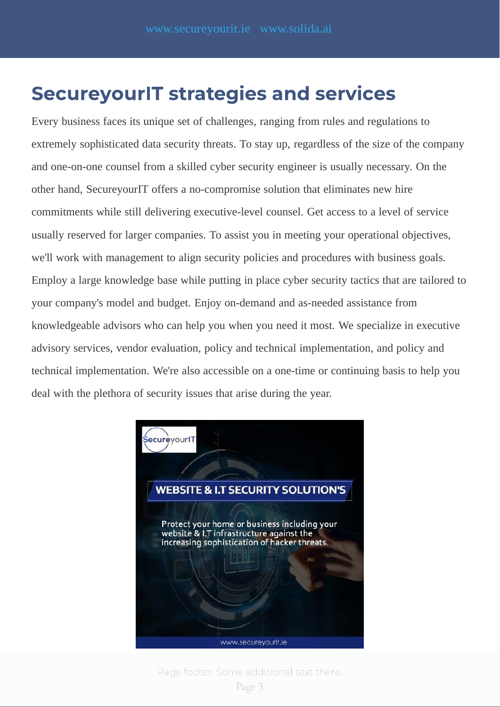#### SecureyourIT strategies and services

Every business faces its unique set of challenges, ranging from rules and regulations to extremely sophisticated data security threats. To stay up, regardless of the size of the company and one-on-one counsel from a skilled cyber security engineer is usually necessary. On the other hand, SecureyourIT offers a no-compromise solution that eliminates new hire commitments while still delivering executive-level counsel. Get access to a level of service usually reserved for larger companies. To assist you in meeting your operational objectives, we'll work with management to align security policies and procedures with business goals. Employ a large knowledge base while putting in place cyber security tactics that are tailored to your company's model and budget. Enjoy on-demand and as-needed assistance from knowledgeable advisors who can help you when you need it most. We specialize in executive advisory services, vendor evaluation, policy and technical implementation, and policy and technical implementation. We're also accessible on a one-time or continuing basis to help you deal with the plethora of security issues that arise during the year.



Page footer. Some additional text there.

Page 3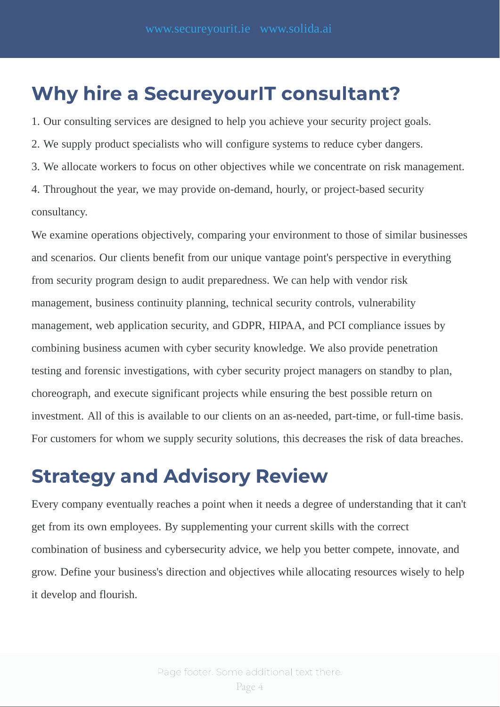### Why hire a SecureyourlT consultant?

1. Our consulting services are designed to help you achieve your security project goals.

2. We supply product specialists who will configure systems to reduce cyber dangers.

3. We allocate workers to focus on other objectives while we concentrate on risk management.

4. Throughout the year, we may provide on-demand, hourly, or project-based security consultancy.

We examine operations objectively, comparing your environment to those of similar businesses and scenarios. Our clients benefit from our unique vantage point's perspective in everything from security program design to audit preparedness. We can help with vendor risk management, business continuity planning, technical security controls, vulnerability management, web application security, and GDPR, HIPAA, and PCI compliance issues by combining business acumen with cyber security knowledge. We also provide penetration testing and forensic investigations, with cyber security project managers on standby to plan, choreograph, and execute significant projects while ensuring the best possible return on investment. All of this is available to our clients on an as-needed, part-time, or full-time basis. For customers for whom we supply security solutions, this decreases the risk of data breaches.

### Strategy and Advisory Review

Every company eventually reaches a point when it needs a degree of understanding that it can't get from its own employees. By supplementing your current skills with the correct combination of business and cybersecurity advice, we help you better compete, innovate, and grow. Define your business's direction and objectives while allocating resources wisely to help it develop and flourish.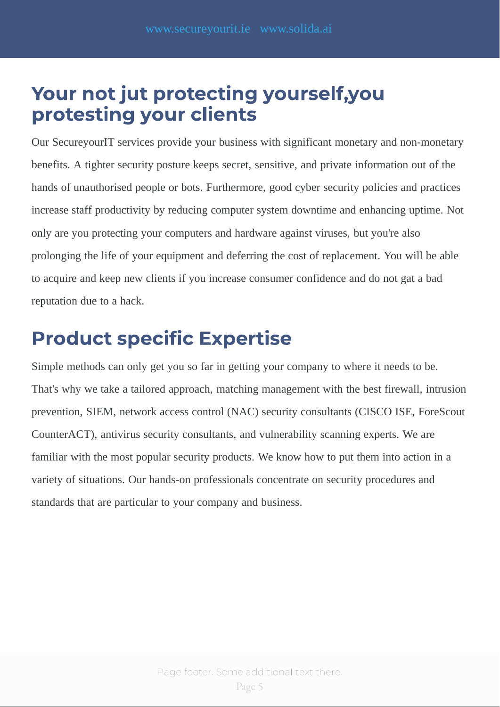### Your not jut protecting yourself, you<br>protesting your clients protesting your clients.

Our SecureyourIT services provide your business with significant monetary and non-monetary benefits. A tighter security posture keeps secret, sensitive, and private information out of the hands of unauthorised people or bots. Furthermore, good cyber security policies and practices increase staff productivity by reducing computer system downtime and enhancing uptime. Not only are you protecting your computers and hardware against viruses, but you're also prolonging the life of your equipment and deferring the cost of replacement. You will be able to acquire and keep new clients if you increase consumer confidence and do not gat a bad reputation due to a hack.

# Product specic Expertise

Simple methods can only get you so far in getting your company to where it needs to be. That's why we take a tailored approach, matching management with the best firewall, intrusion prevention, SIEM, network access control (NAC) security consultants (CISCO ISE, ForeScout CounterACT), antivirus security consultants, and vulnerability scanning experts. We are familiar with the most popular security products. We know how to put them into action in a variety of situations. Our hands-on professionals concentrate on security procedures and standards that are particular to your company and business.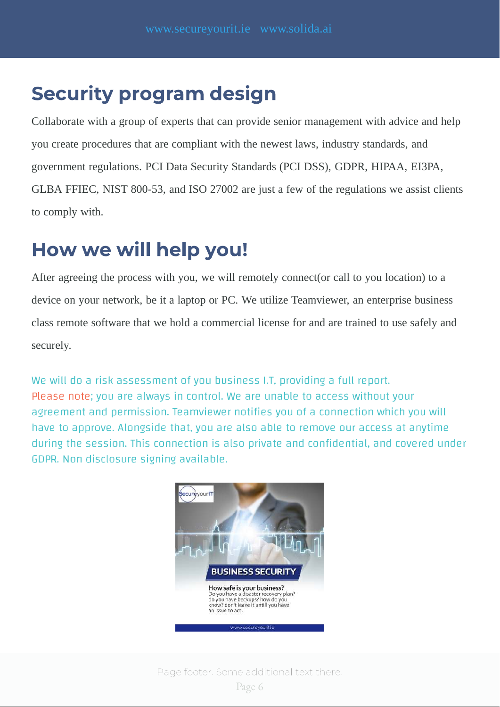### Security program design

Collaborate with a group of experts that can provide senior management with advice and help you create procedures that are compliant with the newest laws, industry standards, and government regulations. PCI Data Security Standards (PCI DSS), GDPR, HIPAA, EI3PA, GLBA FFIEC, NIST 800-53, and ISO 27002 are just a few of the regulations we assist clients to comply with.

# How we will help you!

After agreeing the process with you, we will remotely connect(or call to you location) to a device on your network, be it a laptop or PC. We utilize Teamviewer, an enterprise business class remote software that we hold a commercial license for and are trained to use safely and securely.

We will do a risk assessment of you business I.T, providing a full report. Please note: you are always in control. We are unable to access without your agreement and permission. Teamviewer notifies you of a connection which you will have to approve. Alongside that, you are also able to remove our access at anytime during the session. This connection is also private and confidential, and covered under GDPR. Non disclosure signing available.

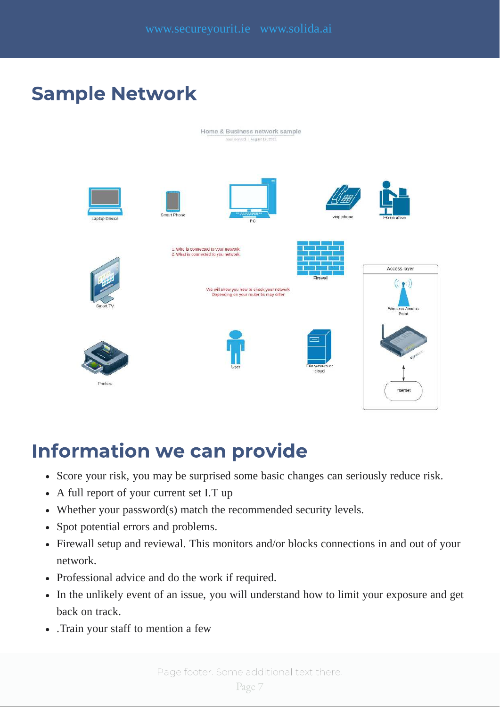### Sample Network



- **Information we can provid we can provid the Score your risk,** source risk.
	- A full report of your current set I.T up
	- Whether your password(s) match the recommended security levels.
	- Spot potential errors and problems.
	- Firewall setup and reviewal. This monitors and/or blocks connections in and out of your network.
	- Professional advice and do the work if required.
	- In the unlikely event of an issue, you will understand how to limit your exposure and get back on track.
	- .Train your staff to mention a few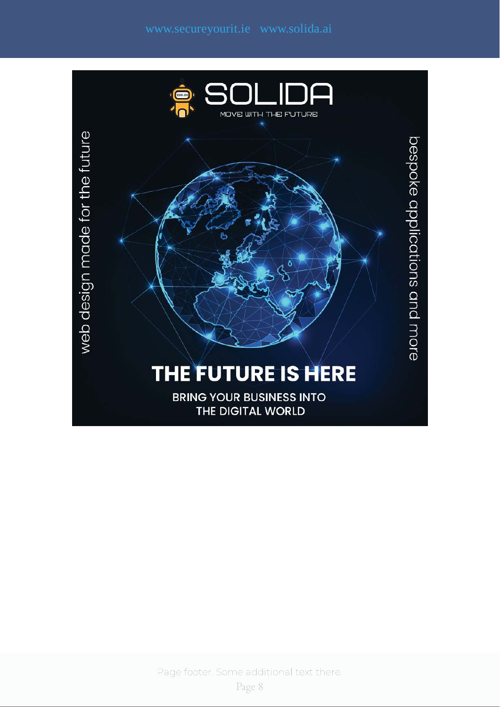